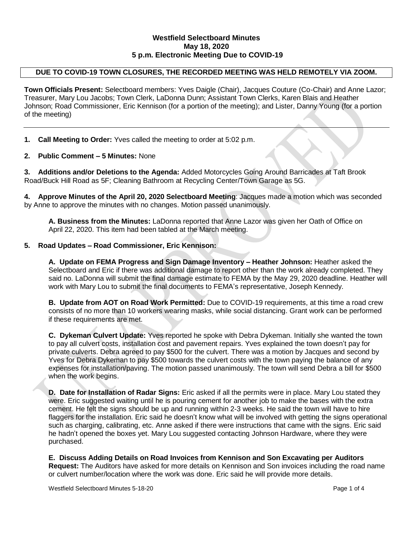### **Westfield Selectboard Minutes May 18, 2020 5 p.m. Electronic Meeting Due to COVID-19**

# **DUE TO COVID-19 TOWN CLOSURES, THE RECORDED MEETING WAS HELD REMOTELY VIA ZOOM.**

**Town Officials Present:** Selectboard members: Yves Daigle (Chair), Jacques Couture (Co-Chair) and Anne Lazor; Treasurer, Mary Lou Jacobs; Town Clerk, LaDonna Dunn; Assistant Town Clerks, Karen Blais and Heather Johnson; Road Commissioner, Eric Kennison (for a portion of the meeting); and Lister, Danny Young (for a portion of the meeting)

**1. Call Meeting to Order:** Yves called the meeting to order at 5:02 p.m.

### **2. Public Comment – 5 Minutes:** None

**3. Additions and/or Deletions to the Agenda:** Added Motorcycles Going Around Barricades at Taft Brook Road/Buck Hill Road as 5F; Cleaning Bathroom at Recycling Center/Town Garage as 5G.

**4. Approve Minutes of the April 20, 2020 Selectboard Meeting**: Jacques made a motion which was seconded by Anne to approve the minutes with no changes. Motion passed unanimously.

**A. Business from the Minutes:** LaDonna reported that Anne Lazor was given her Oath of Office on April 22, 2020. This item had been tabled at the March meeting.

### **5. Road Updates – Road Commissioner, Eric Kennison:**

**A. Update on FEMA Progress and Sign Damage Inventory – Heather Johnson:** Heather asked the Selectboard and Eric if there was additional damage to report other than the work already completed. They said no. LaDonna will submit the final damage estimate to FEMA by the May 29, 2020 deadline. Heather will work with Mary Lou to submit the final documents to FEMA's representative, Joseph Kennedy.

**B. Update from AOT on Road Work Permitted:** Due to COVID-19 requirements, at this time a road crew consists of no more than 10 workers wearing masks, while social distancing. Grant work can be performed if these requirements are met.

**C. Dykeman Culvert Update:** Yves reported he spoke with Debra Dykeman. Initially she wanted the town to pay all culvert costs, installation cost and pavement repairs. Yves explained the town doesn't pay for private culverts. Debra agreed to pay \$500 for the culvert. There was a motion by Jacques and second by Yves for Debra Dykeman to pay \$500 towards the culvert costs with the town paying the balance of any expenses for installation/paving. The motion passed unanimously. The town will send Debra a bill for \$500 when the work begins.

**D. Date for Installation of Radar Signs:** Eric asked if all the permits were in place. Mary Lou stated they were. Eric suggested waiting until he is pouring cement for another job to make the bases with the extra cement. He felt the signs should be up and running within 2-3 weeks. He said the town will have to hire flaggers for the installation. Eric said he doesn't know what will be involved with getting the signs operational such as charging, calibrating, etc. Anne asked if there were instructions that came with the signs. Eric said he hadn't opened the boxes yet. Mary Lou suggested contacting Johnson Hardware, where they were purchased.

**E. Discuss Adding Details on Road Invoices from Kennison and Son Excavating per Auditors Request:** The Auditors have asked for more details on Kennison and Son invoices including the road name or culvert number/location where the work was done. Eric said he will provide more details.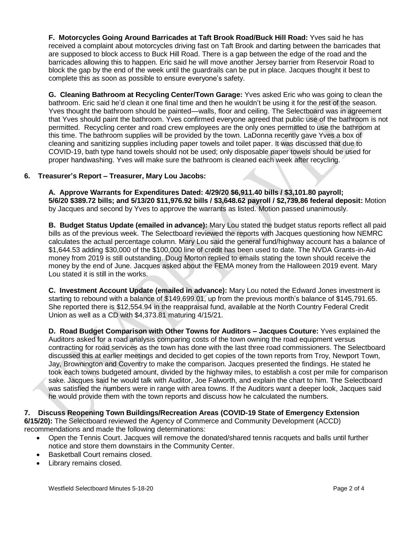**F. Motorcycles Going Around Barricades at Taft Brook Road/Buck Hill Road:** Yves said he has received a complaint about motorcycles driving fast on Taft Brook and darting between the barricades that are supposed to block access to Buck Hill Road. There is a gap between the edge of the road and the barricades allowing this to happen. Eric said he will move another Jersey barrier from Reservoir Road to block the gap by the end of the week until the guardrails can be put in place. Jacques thought it best to complete this as soon as possible to ensure everyone's safety.

**G. Cleaning Bathroom at Recycling Center/Town Garage:** Yves asked Eric who was going to clean the bathroom. Eric said he'd clean it one final time and then he wouldn't be using it for the rest of the season. Yves thought the bathroom should be painted—walls, floor and ceiling. The Selectboard was in agreement that Yves should paint the bathroom. Yves confirmed everyone agreed that public use of the bathroom is not permitted. Recycling center and road crew employees are the only ones permitted to use the bathroom at this time. The bathroom supplies will be provided by the town. LaDonna recently gave Yves a box of cleaning and sanitizing supplies including paper towels and toilet paper. It was discussed that due to COVID-19, bath type hand towels should not be used; only disposable paper towels should be used for proper handwashing. Yves will make sure the bathroom is cleaned each week after recycling.

### **6. Treasurer's Report – Treasurer, Mary Lou Jacobs:**

**A. Approve Warrants for Expenditures Dated: 4/29/20 \$6,911.40 bills / \$3,101.80 payroll; 5/6/20 \$389.72 bills; and 5/13/20 \$11,976.92 bills / \$3,648.62 payroll / \$2,739.86 federal deposit:** Motion by Jacques and second by Yves to approve the warrants as listed. Motion passed unanimously.

**B. Budget Status Update (emailed in advance):** Mary Lou stated the budget status reports reflect all paid bills as of the previous week. The Selectboard reviewed the reports with Jacques questioning how NEMRC calculates the actual percentage column. Mary Lou said the general fund/highway account has a balance of \$1,644.53 adding \$30,000 of the \$100,000 line of credit has been used to date. The NVDA Grants-in-Aid money from 2019 is still outstanding. Doug Morton replied to emails stating the town should receive the money by the end of June. Jacques asked about the FEMA money from the Halloween 2019 event. Mary Lou stated it is still in the works.

**C. Investment Account Update (emailed in advance):** Mary Lou noted the Edward Jones investment is starting to rebound with a balance of \$149,699.01, up from the previous month's balance of \$145,791.65. She reported there is \$12,554.94 in the reappraisal fund, available at the North Country Federal Credit Union as well as a CD with \$4,373.81 maturing 4/15/21.

**D. Road Budget Comparison with Other Towns for Auditors – Jacques Couture:** Yves explained the Auditors asked for a road analysis comparing costs of the town owning the road equipment versus contracting for road services as the town has done with the last three road commissioners. The Selectboard discussed this at earlier meetings and decided to get copies of the town reports from Troy, Newport Town, Jay, Brownington and Coventry to make the comparison. Jacques presented the findings. He stated he took each towns budgeted amount, divided by the highway miles, to establish a cost per mile for comparison sake. Jacques said he would talk with Auditor, Joe Falworth, and explain the chart to him. The Selectboard was satisfied the numbers were in range with area towns. If the Auditors want a deeper look, Jacques said he would provide them with the town reports and discuss how he calculated the numbers.

# **7. Discuss Reopening Town Buildings/Recreation Areas (COVID-19 State of Emergency Extension**

**6/15/20):** The Selectboard reviewed the Agency of Commerce and Community Development (ACCD) recommendations and made the following determinations:

- Open the Tennis Court. Jacques will remove the donated/shared tennis racquets and balls until further notice and store them downstairs in the Community Center.
- Basketball Court remains closed.
- Library remains closed.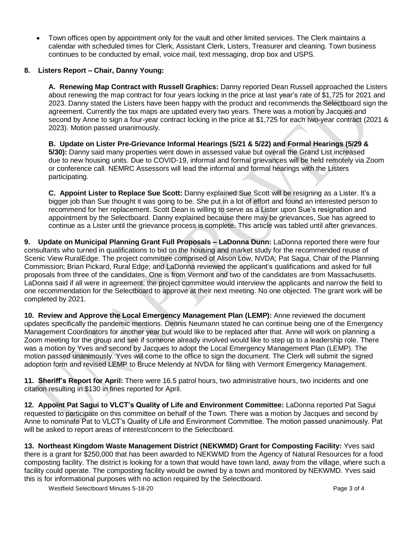Town offices open by appointment only for the vault and other limited services. The Clerk maintains a calendar with scheduled times for Clerk, Assistant Clerk, Listers, Treasurer and cleaning. Town business continues to be conducted by email, voice mail, text messaging, drop box and USPS.

## **8. Listers Report – Chair, Danny Young:**

**A. Renewing Map Contract with Russell Graphics:** Danny reported Dean Russell approached the Listers about renewing the map contract for four years locking in the price at last year's rate of \$1,725 for 2021 and 2023. Danny stated the Listers have been happy with the product and recommends the Selectboard sign the agreement. Currently the tax maps are updated every two years. There was a motion by Jacques and second by Anne to sign a four-year contract locking in the price at \$1,725 for each two-year contract (2021 & 2023). Motion passed unanimously.

**B. Update on Lister Pre-Grievance Informal Hearings (5/21 & 5/22) and Formal Hearings (5/29 & 5/30):** Danny said many properties went down in assessed value but overall the Grand List increased due to new housing units. Due to COVID-19, informal and formal grievances will be held remotely via Zoom or conference call. NEMRC Assessors will lead the informal and formal hearings with the Listers participating.

**C. Appoint Lister to Replace Sue Scott:** Danny explained Sue Scott will be resigning as a Lister. It's a bigger job than Sue thought it was going to be. She put in a lot of effort and found an interested person to recommend for her replacement. Scott Dean is willing to serve as a Lister upon Sue's resignation and appointment by the Selectboard. Danny explained because there may be grievances, Sue has agreed to continue as a Lister until the grievance process is complete. This article was tabled until after grievances.

**9. Update on Municipal Planning Grant Full Proposals – LaDonna Dunn:** LaDonna reported there were four consultants who turned in qualifications to bid on the housing and market study for the recommended reuse of Scenic View RuralEdge. The project committee comprised of Alison Low, NVDA; Pat Sagui, Chair of the Planning Commission; Brian Pickard, Rural Edge; and LaDonna reviewed the applicant's qualifications and asked for full proposals from three of the candidates. One is from Vermont and two of the candidates are from Massachusetts. LaDonna said if all were in agreement, the project committee would interview the applicants and narrow the field to one recommendation for the Selectboard to approve at their next meeting. No one objected. The grant work will be completed by 2021.

**10. Review and Approve the Local Emergency Management Plan (LEMP):** Anne reviewed the document updates specifically the pandemic mentions. Dennis Neumann stated he can continue being one of the Emergency Management Coordinators for another year but would like to be replaced after that. Anne will work on planning a Zoom meeting for the group and see if someone already involved would like to step up to a leadership role. There was a motion by Yves and second by Jacques to adopt the Local Emergency Management Plan (LEMP). The motion passed unanimously. Yves will come to the office to sign the document. The Clerk will submit the signed adoption form and revised LEMP to Bruce Melendy at NVDA for filing with Vermont Emergency Management.

**11. Sheriff's Report for April:** There were 16.5 patrol hours, two administrative hours, two incidents and one citation resulting in \$130 in fines reported for April.

**12. Appoint Pat Sagui to VLCT's Quality of Life and Environment Committee:** LaDonna reported Pat Sagui requested to participate on this committee on behalf of the Town. There was a motion by Jacques and second by Anne to nominate Pat to VLCT's Quality of Life and Environment Committee. The motion passed unanimously. Pat will be asked to report areas of interest/concern to the Selectboard.

**13. Northeast Kingdom Waste Management District (NEKWMD) Grant for Composting Facility:** Yves said there is a grant for \$250,000 that has been awarded to NEKWMD from the Agency of Natural Resources for a food composting facility. The district is looking for a town that would have town land, away from the village, where such a facility could operate. The composting facility would be owned by a town and monitored by NEKWMD. Yves said this is for informational purposes with no action required by the Selectboard.

Westfield Selectboard Minutes 5-18-20 **Page 3 of 4** Page 3 of 4